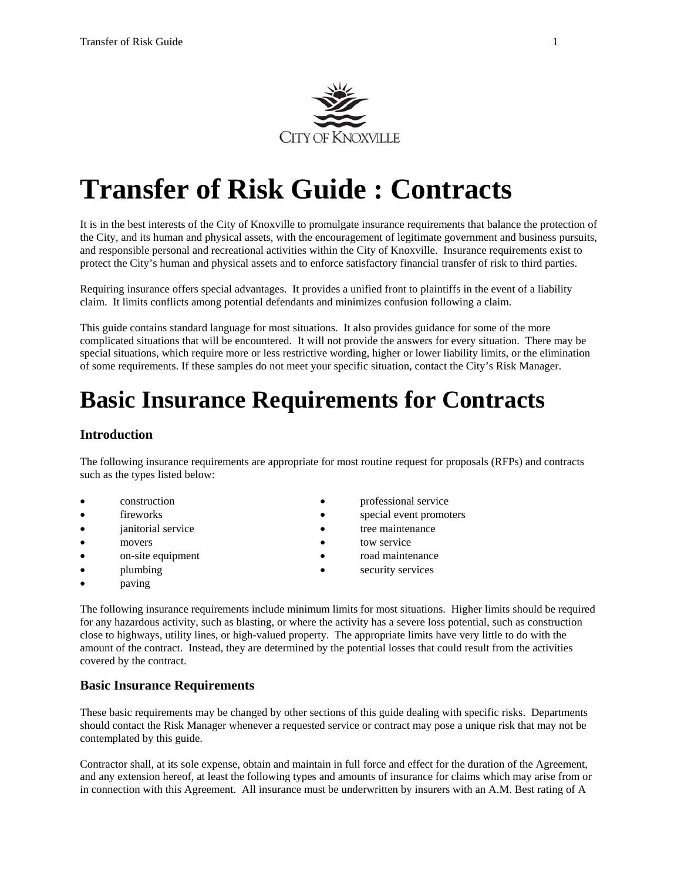

# **Transfer of Risk Guide : Contracts**

It is in the best interests of the City of Knoxville to promulgate insurance requirements that balance the protection of the City, and its human and physical assets, with the encouragement of legitimate government and business pursuits, and responsible personal and recreational activities within the City of Knoxville. Insurance requirements exist to protect the City's human and physical assets and to enforce satisfactory financial transfer of risk to third parties.

Requiring insurance offers special advantages. It provides a unified front to plaintiffs in the event of a liability claim. It limits conflicts among potential defendants and minimizes confusion following a claim.

This guide contains standard language for most situations. It also provides guidance for some of the more complicated situations that will be encountered. It will not provide the answers for every situation. There may be special situations, which require more or less restrictive wording, higher or lower liability limits, or the elimination of some requirements. If these samples do not meet your specific situation, contact the City's Risk Manager.

## **Basic Insurance Requirements for Contracts**

## **Introduction**

The following insurance requirements are appropriate for most routine request for proposals (RFPs) and contracts such as the types listed below:

- 
- 
- 
- 
- on-site equipment road maintenance
- 
- paving
- construction **•** professional service
- fireworks **special event promoters** 
	- ianitorial service **tree** maintenance
- movers because tow service
	-
	- plumbing execurity services

The following insurance requirements include minimum limits for most situations. Higher limits should be required for any hazardous activity, such as blasting, or where the activity has a severe loss potential, such as construction close to highways, utility lines, or high-valued property. The appropriate limits have very little to do with the amount of the contract. Instead, they are determined by the potential losses that could result from the activities covered by the contract.

## **Basic Insurance Requirements**

These basic requirements may be changed by other sections of this guide dealing with specific risks. Departments should contact the Risk Manager whenever a requested service or contract may pose a unique risk that may not be contemplated by this guide.

Contractor shall, at its sole expense, obtain and maintain in full force and effect for the duration of the Agreement, and any extension hereof, at least the following types and amounts of insurance for claims which may arise from or in connection with this Agreement. All insurance must be underwritten by insurers with an A.M. Best rating of A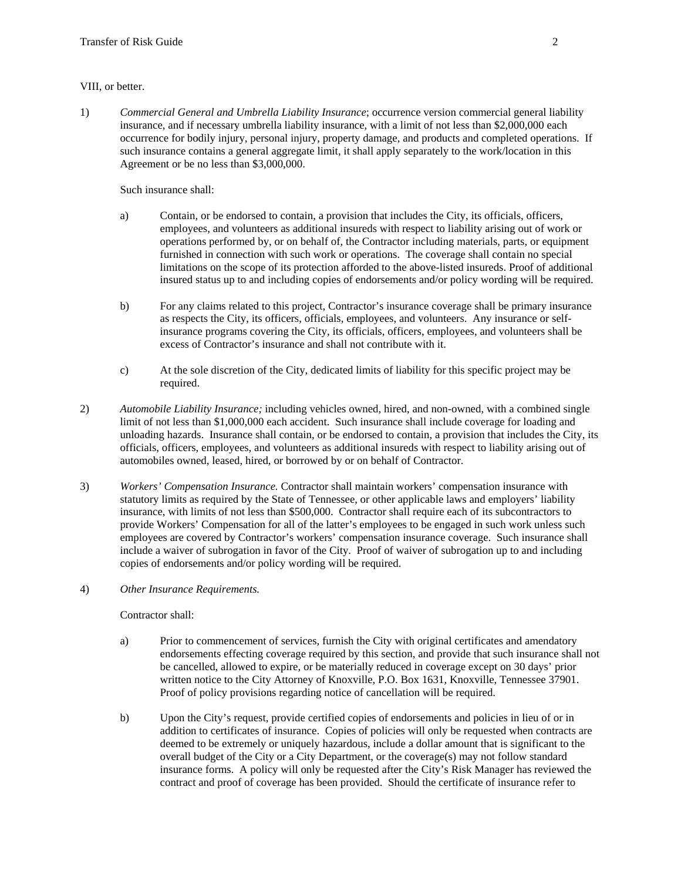#### VIII, or better.

1) *Commercial General and Umbrella Liability Insurance*; occurrence version commercial general liability insurance, and if necessary umbrella liability insurance, with a limit of not less than \$2,000,000 each occurrence for bodily injury, personal injury, property damage, and products and completed operations. If such insurance contains a general aggregate limit, it shall apply separately to the work/location in this Agreement or be no less than \$3,000,000.

Such insurance shall:

- a) Contain, or be endorsed to contain, a provision that includes the City, its officials, officers, employees, and volunteers as additional insureds with respect to liability arising out of work or operations performed by, or on behalf of, the Contractor including materials, parts, or equipment furnished in connection with such work or operations. The coverage shall contain no special limitations on the scope of its protection afforded to the above-listed insureds. Proof of additional insured status up to and including copies of endorsements and/or policy wording will be required.
- b) For any claims related to this project, Contractor's insurance coverage shall be primary insurance as respects the City, its officers, officials, employees, and volunteers. Any insurance or selfinsurance programs covering the City, its officials, officers, employees, and volunteers shall be excess of Contractor's insurance and shall not contribute with it.
- c) At the sole discretion of the City, dedicated limits of liability for this specific project may be required.
- 2) *Automobile Liability Insurance;* including vehicles owned, hired, and non-owned, with a combined single limit of not less than \$1,000,000 each accident. Such insurance shall include coverage for loading and unloading hazards. Insurance shall contain, or be endorsed to contain, a provision that includes the City, its officials, officers, employees, and volunteers as additional insureds with respect to liability arising out of automobiles owned, leased, hired, or borrowed by or on behalf of Contractor.
- 3) *Workers' Compensation Insurance.* Contractor shall maintain workers' compensation insurance with statutory limits as required by the State of Tennessee, or other applicable laws and employers' liability insurance, with limits of not less than \$500,000. Contractor shall require each of its subcontractors to provide Workers' Compensation for all of the latter's employees to be engaged in such work unless such employees are covered by Contractor's workers' compensation insurance coverage. Such insurance shall include a waiver of subrogation in favor of the City. Proof of waiver of subrogation up to and including copies of endorsements and/or policy wording will be required.
- 4) *Other Insurance Requirements.*

Contractor shall:

- a) Prior to commencement of services, furnish the City with original certificates and amendatory endorsements effecting coverage required by this section, and provide that such insurance shall not be cancelled, allowed to expire, or be materially reduced in coverage except on 30 days' prior written notice to the City Attorney of Knoxville, P.O. Box 1631, Knoxville, Tennessee 37901. Proof of policy provisions regarding notice of cancellation will be required.
- b) Upon the City's request, provide certified copies of endorsements and policies in lieu of or in addition to certificates of insurance. Copies of policies will only be requested when contracts are deemed to be extremely or uniquely hazardous, include a dollar amount that is significant to the overall budget of the City or a City Department, or the coverage(s) may not follow standard insurance forms. A policy will only be requested after the City's Risk Manager has reviewed the contract and proof of coverage has been provided. Should the certificate of insurance refer to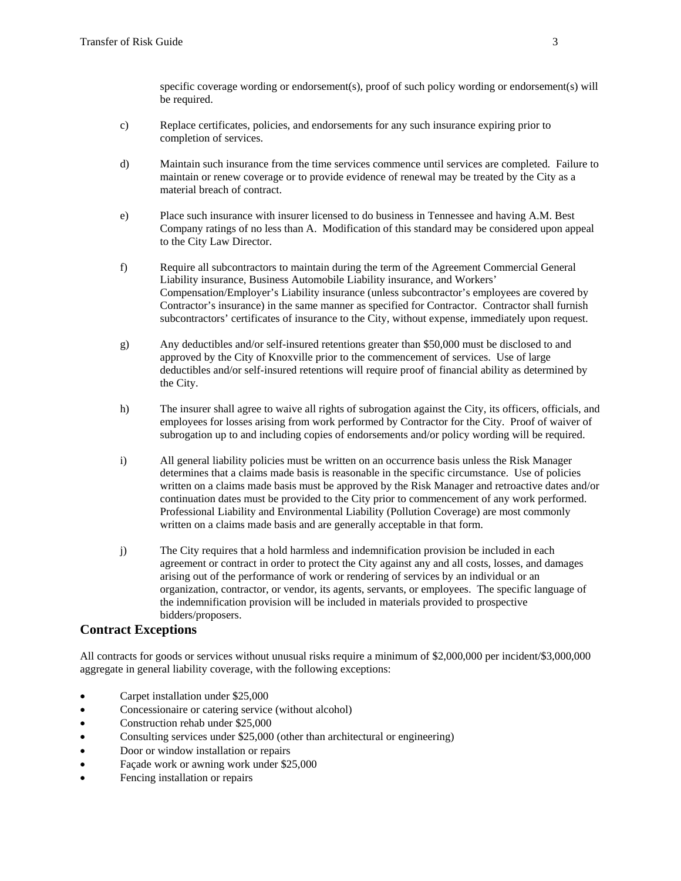specific coverage wording or endorsement(s), proof of such policy wording or endorsement(s) will be required.

- c) Replace certificates, policies, and endorsements for any such insurance expiring prior to completion of services.
- d) Maintain such insurance from the time services commence until services are completed. Failure to maintain or renew coverage or to provide evidence of renewal may be treated by the City as a material breach of contract.
- e) Place such insurance with insurer licensed to do business in Tennessee and having A.M. Best Company ratings of no less than A. Modification of this standard may be considered upon appeal to the City Law Director.
- f) Require all subcontractors to maintain during the term of the Agreement Commercial General Liability insurance, Business Automobile Liability insurance, and Workers' Compensation/Employer's Liability insurance (unless subcontractor's employees are covered by Contractor's insurance) in the same manner as specified for Contractor. Contractor shall furnish subcontractors' certificates of insurance to the City, without expense, immediately upon request.
- g) Any deductibles and/or self-insured retentions greater than \$50,000 must be disclosed to and approved by the City of Knoxville prior to the commencement of services. Use of large deductibles and/or self-insured retentions will require proof of financial ability as determined by the City.
- h) The insurer shall agree to waive all rights of subrogation against the City, its officers, officials, and employees for losses arising from work performed by Contractor for the City. Proof of waiver of subrogation up to and including copies of endorsements and/or policy wording will be required.
- i) All general liability policies must be written on an occurrence basis unless the Risk Manager determines that a claims made basis is reasonable in the specific circumstance. Use of policies written on a claims made basis must be approved by the Risk Manager and retroactive dates and/or continuation dates must be provided to the City prior to commencement of any work performed. Professional Liability and Environmental Liability (Pollution Coverage) are most commonly written on a claims made basis and are generally acceptable in that form.
- j) The City requires that a hold harmless and indemnification provision be included in each agreement or contract in order to protect the City against any and all costs, losses, and damages arising out of the performance of work or rendering of services by an individual or an organization, contractor, or vendor, its agents, servants, or employees. The specific language of the indemnification provision will be included in materials provided to prospective bidders/proposers.

## **Contract Exceptions**

All contracts for goods or services without unusual risks require a minimum of \$2,000,000 per incident/\$3,000,000 aggregate in general liability coverage, with the following exceptions:

- Carpet installation under \$25,000
- Concessionaire or catering service (without alcohol)
- Construction rehab under \$25,000
- Consulting services under \$25,000 (other than architectural or engineering)
- Door or window installation or repairs
- Façade work or awning work under \$25,000
- Fencing installation or repairs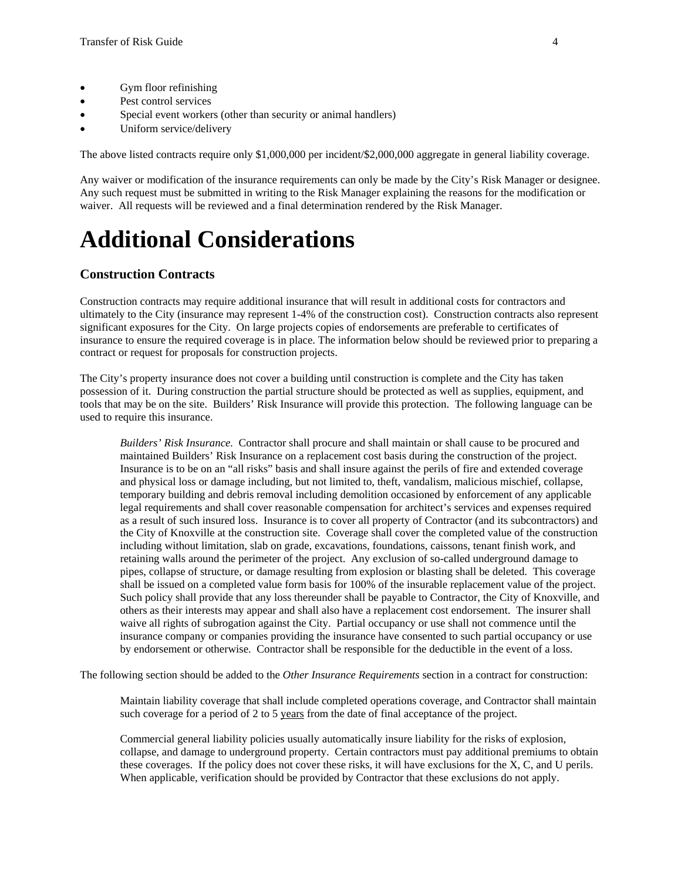- Gym floor refinishing
- Pest control services
- Special event workers (other than security or animal handlers)
- Uniform service/delivery

The above listed contracts require only \$1,000,000 per incident/\$2,000,000 aggregate in general liability coverage.

Any waiver or modification of the insurance requirements can only be made by the City's Risk Manager or designee. Any such request must be submitted in writing to the Risk Manager explaining the reasons for the modification or waiver. All requests will be reviewed and a final determination rendered by the Risk Manager.

## **Additional Considerations**

## **Construction Contracts**

Construction contracts may require additional insurance that will result in additional costs for contractors and ultimately to the City (insurance may represent 1-4% of the construction cost). Construction contracts also represent significant exposures for the City. On large projects copies of endorsements are preferable to certificates of insurance to ensure the required coverage is in place. The information below should be reviewed prior to preparing a contract or request for proposals for construction projects.

The City's property insurance does not cover a building until construction is complete and the City has taken possession of it. During construction the partial structure should be protected as well as supplies, equipment, and tools that may be on the site. Builders' Risk Insurance will provide this protection. The following language can be used to require this insurance.

*Builders' Risk Insurance.* Contractor shall procure and shall maintain or shall cause to be procured and maintained Builders' Risk Insurance on a replacement cost basis during the construction of the project. Insurance is to be on an "all risks" basis and shall insure against the perils of fire and extended coverage and physical loss or damage including, but not limited to, theft, vandalism, malicious mischief, collapse, temporary building and debris removal including demolition occasioned by enforcement of any applicable legal requirements and shall cover reasonable compensation for architect's services and expenses required as a result of such insured loss. Insurance is to cover all property of Contractor (and its subcontractors) and the City of Knoxville at the construction site. Coverage shall cover the completed value of the construction including without limitation, slab on grade, excavations, foundations, caissons, tenant finish work, and retaining walls around the perimeter of the project. Any exclusion of so-called underground damage to pipes, collapse of structure, or damage resulting from explosion or blasting shall be deleted. This coverage shall be issued on a completed value form basis for 100% of the insurable replacement value of the project. Such policy shall provide that any loss thereunder shall be payable to Contractor, the City of Knoxville, and others as their interests may appear and shall also have a replacement cost endorsement. The insurer shall waive all rights of subrogation against the City. Partial occupancy or use shall not commence until the insurance company or companies providing the insurance have consented to such partial occupancy or use by endorsement or otherwise. Contractor shall be responsible for the deductible in the event of a loss.

The following section should be added to the *Other Insurance Requirements* section in a contract for construction:

Maintain liability coverage that shall include completed operations coverage, and Contractor shall maintain such coverage for a period of 2 to 5 years from the date of final acceptance of the project.

Commercial general liability policies usually automatically insure liability for the risks of explosion, collapse, and damage to underground property. Certain contractors must pay additional premiums to obtain these coverages. If the policy does not cover these risks, it will have exclusions for the X, C, and U perils. When applicable, verification should be provided by Contractor that these exclusions do not apply.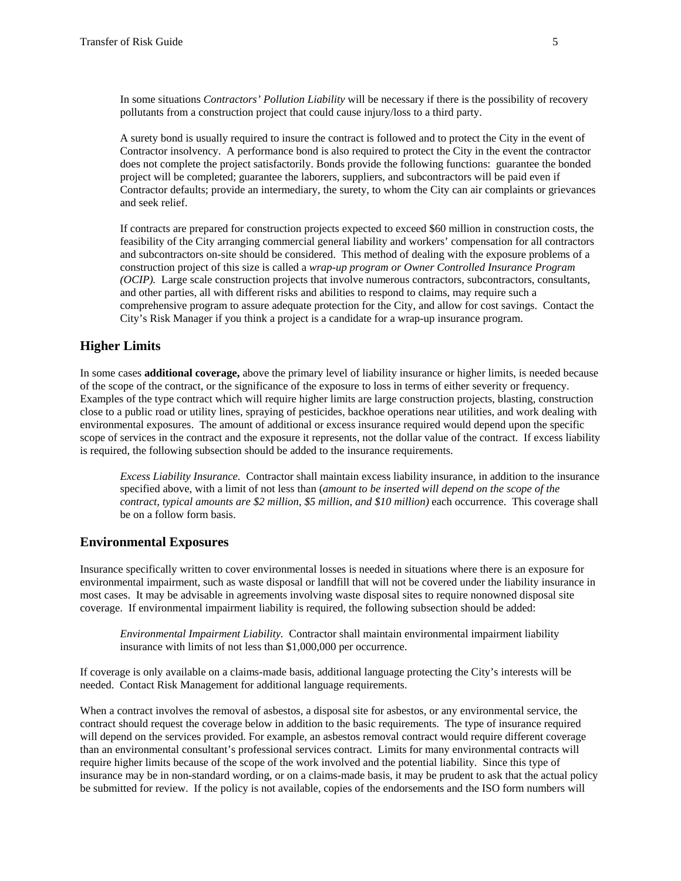In some situations *Contractors' Pollution Liability* will be necessary if there is the possibility of recovery pollutants from a construction project that could cause injury/loss to a third party.

A surety bond is usually required to insure the contract is followed and to protect the City in the event of Contractor insolvency. A performance bond is also required to protect the City in the event the contractor does not complete the project satisfactorily. Bonds provide the following functions: guarantee the bonded project will be completed; guarantee the laborers, suppliers, and subcontractors will be paid even if Contractor defaults; provide an intermediary, the surety, to whom the City can air complaints or grievances and seek relief.

If contracts are prepared for construction projects expected to exceed \$60 million in construction costs, the feasibility of the City arranging commercial general liability and workers' compensation for all contractors and subcontractors on-site should be considered. This method of dealing with the exposure problems of a construction project of this size is called a *wrap-up program or Owner Controlled Insurance Program (OCIP).* Large scale construction projects that involve numerous contractors, subcontractors, consultants, and other parties, all with different risks and abilities to respond to claims, may require such a comprehensive program to assure adequate protection for the City, and allow for cost savings. Contact the City's Risk Manager if you think a project is a candidate for a wrap-up insurance program.

### **Higher Limits**

In some cases **additional coverage,** above the primary level of liability insurance or higher limits, is needed because of the scope of the contract, or the significance of the exposure to loss in terms of either severity or frequency. Examples of the type contract which will require higher limits are large construction projects, blasting, construction close to a public road or utility lines, spraying of pesticides, backhoe operations near utilities, and work dealing with environmental exposures. The amount of additional or excess insurance required would depend upon the specific scope of services in the contract and the exposure it represents, not the dollar value of the contract. If excess liability is required, the following subsection should be added to the insurance requirements.

*Excess Liability Insurance.* Contractor shall maintain excess liability insurance, in addition to the insurance specified above, with a limit of not less than (*amount to be inserted will depend on the scope of the contract, typical amounts are \$2 million, \$5 million, and \$10 million)* each occurrence. This coverage shall be on a follow form basis.

#### **Environmental Exposures**

Insurance specifically written to cover environmental losses is needed in situations where there is an exposure for environmental impairment, such as waste disposal or landfill that will not be covered under the liability insurance in most cases. It may be advisable in agreements involving waste disposal sites to require nonowned disposal site coverage. If environmental impairment liability is required, the following subsection should be added:

*Environmental Impairment Liability.* Contractor shall maintain environmental impairment liability insurance with limits of not less than \$1,000,000 per occurrence.

If coverage is only available on a claims-made basis, additional language protecting the City's interests will be needed. Contact Risk Management for additional language requirements.

When a contract involves the removal of asbestos, a disposal site for asbestos, or any environmental service, the contract should request the coverage below in addition to the basic requirements. The type of insurance required will depend on the services provided. For example, an asbestos removal contract would require different coverage than an environmental consultant's professional services contract. Limits for many environmental contracts will require higher limits because of the scope of the work involved and the potential liability. Since this type of insurance may be in non-standard wording, or on a claims-made basis, it may be prudent to ask that the actual policy be submitted for review. If the policy is not available, copies of the endorsements and the ISO form numbers will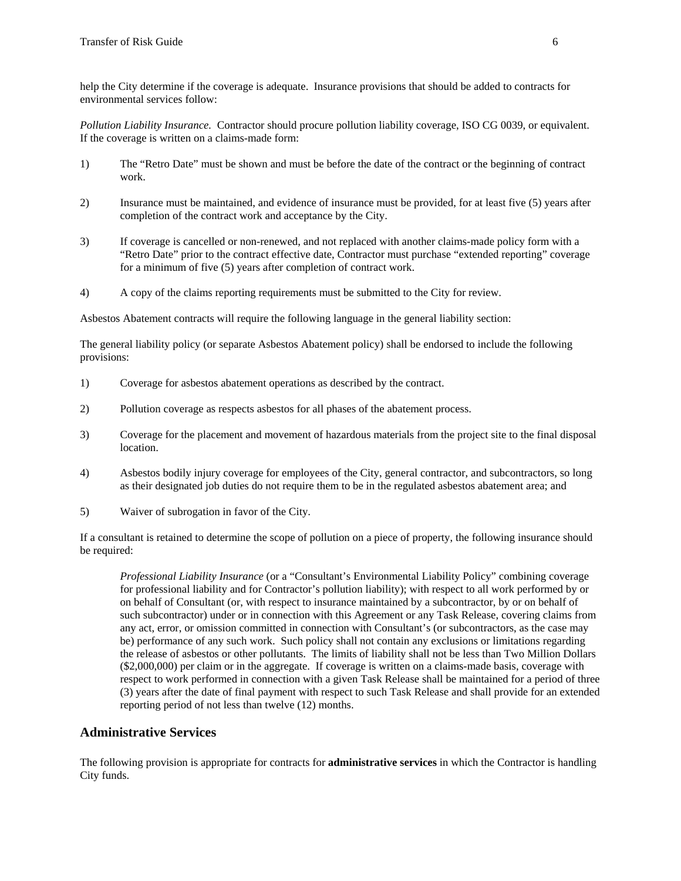help the City determine if the coverage is adequate. Insurance provisions that should be added to contracts for environmental services follow:

*Pollution Liability Insurance.* Contractor should procure pollution liability coverage, ISO CG 0039, or equivalent. If the coverage is written on a claims-made form:

- 1) The "Retro Date" must be shown and must be before the date of the contract or the beginning of contract work.
- 2) Insurance must be maintained, and evidence of insurance must be provided, for at least five (5) years after completion of the contract work and acceptance by the City.
- 3) If coverage is cancelled or non-renewed, and not replaced with another claims-made policy form with a "Retro Date" prior to the contract effective date, Contractor must purchase "extended reporting" coverage for a minimum of five (5) years after completion of contract work.
- 4) A copy of the claims reporting requirements must be submitted to the City for review.

Asbestos Abatement contracts will require the following language in the general liability section:

The general liability policy (or separate Asbestos Abatement policy) shall be endorsed to include the following provisions:

- 1) Coverage for asbestos abatement operations as described by the contract.
- 2) Pollution coverage as respects asbestos for all phases of the abatement process.
- 3) Coverage for the placement and movement of hazardous materials from the project site to the final disposal location.
- 4) Asbestos bodily injury coverage for employees of the City, general contractor, and subcontractors, so long as their designated job duties do not require them to be in the regulated asbestos abatement area; and
- 5) Waiver of subrogation in favor of the City.

If a consultant is retained to determine the scope of pollution on a piece of property, the following insurance should be required:

*Professional Liability Insurance* (or a "Consultant's Environmental Liability Policy" combining coverage for professional liability and for Contractor's pollution liability); with respect to all work performed by or on behalf of Consultant (or, with respect to insurance maintained by a subcontractor, by or on behalf of such subcontractor) under or in connection with this Agreement or any Task Release, covering claims from any act, error, or omission committed in connection with Consultant's (or subcontractors, as the case may be) performance of any such work. Such policy shall not contain any exclusions or limitations regarding the release of asbestos or other pollutants. The limits of liability shall not be less than Two Million Dollars (\$2,000,000) per claim or in the aggregate. If coverage is written on a claims-made basis, coverage with respect to work performed in connection with a given Task Release shall be maintained for a period of three (3) years after the date of final payment with respect to such Task Release and shall provide for an extended reporting period of not less than twelve (12) months.

### **Administrative Services**

The following provision is appropriate for contracts for **administrative services** in which the Contractor is handling City funds.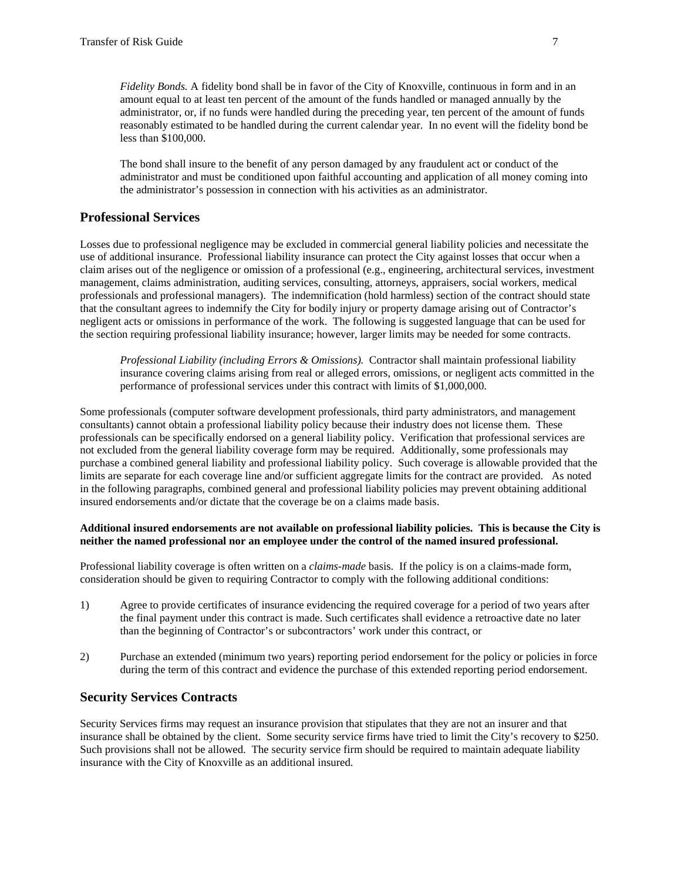*Fidelity Bonds.* A fidelity bond shall be in favor of the City of Knoxville, continuous in form and in an amount equal to at least ten percent of the amount of the funds handled or managed annually by the administrator, or, if no funds were handled during the preceding year, ten percent of the amount of funds reasonably estimated to be handled during the current calendar year. In no event will the fidelity bond be less than \$100,000.

The bond shall insure to the benefit of any person damaged by any fraudulent act or conduct of the administrator and must be conditioned upon faithful accounting and application of all money coming into the administrator's possession in connection with his activities as an administrator.

### **Professional Services**

Losses due to professional negligence may be excluded in commercial general liability policies and necessitate the use of additional insurance. Professional liability insurance can protect the City against losses that occur when a claim arises out of the negligence or omission of a professional (e.g., engineering, architectural services, investment management, claims administration, auditing services, consulting, attorneys, appraisers, social workers, medical professionals and professional managers). The indemnification (hold harmless) section of the contract should state that the consultant agrees to indemnify the City for bodily injury or property damage arising out of Contractor's negligent acts or omissions in performance of the work. The following is suggested language that can be used for the section requiring professional liability insurance; however, larger limits may be needed for some contracts.

*Professional Liability (including Errors & Omissions).* Contractor shall maintain professional liability insurance covering claims arising from real or alleged errors, omissions, or negligent acts committed in the performance of professional services under this contract with limits of \$1,000,000.

Some professionals (computer software development professionals, third party administrators, and management consultants) cannot obtain a professional liability policy because their industry does not license them. These professionals can be specifically endorsed on a general liability policy. Verification that professional services are not excluded from the general liability coverage form may be required. Additionally, some professionals may purchase a combined general liability and professional liability policy. Such coverage is allowable provided that the limits are separate for each coverage line and/or sufficient aggregate limits for the contract are provided. As noted in the following paragraphs, combined general and professional liability policies may prevent obtaining additional insured endorsements and/or dictate that the coverage be on a claims made basis.

#### **Additional insured endorsements are not available on professional liability policies. This is because the City is neither the named professional nor an employee under the control of the named insured professional.**

Professional liability coverage is often written on a *claims-made* basis. If the policy is on a claims-made form, consideration should be given to requiring Contractor to comply with the following additional conditions:

- 1) Agree to provide certificates of insurance evidencing the required coverage for a period of two years after the final payment under this contract is made. Such certificates shall evidence a retroactive date no later than the beginning of Contractor's or subcontractors' work under this contract, or
- 2) Purchase an extended (minimum two years) reporting period endorsement for the policy or policies in force during the term of this contract and evidence the purchase of this extended reporting period endorsement.

### **Security Services Contracts**

Security Services firms may request an insurance provision that stipulates that they are not an insurer and that insurance shall be obtained by the client. Some security service firms have tried to limit the City's recovery to \$250. Such provisions shall not be allowed. The security service firm should be required to maintain adequate liability insurance with the City of Knoxville as an additional insured.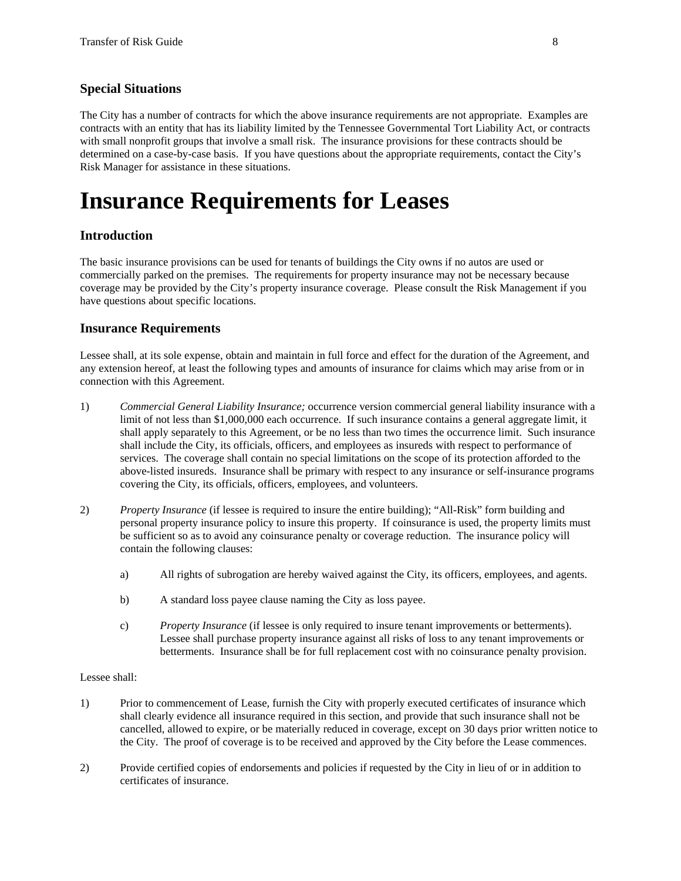## **Special Situations**

The City has a number of contracts for which the above insurance requirements are not appropriate. Examples are contracts with an entity that has its liability limited by the Tennessee Governmental Tort Liability Act, or contracts with small nonprofit groups that involve a small risk. The insurance provisions for these contracts should be determined on a case-by-case basis. If you have questions about the appropriate requirements, contact the City's Risk Manager for assistance in these situations.

## **Insurance Requirements for Leases**

### **Introduction**

The basic insurance provisions can be used for tenants of buildings the City owns if no autos are used or commercially parked on the premises. The requirements for property insurance may not be necessary because coverage may be provided by the City's property insurance coverage. Please consult the Risk Management if you have questions about specific locations.

#### **Insurance Requirements**

Lessee shall, at its sole expense, obtain and maintain in full force and effect for the duration of the Agreement, and any extension hereof, at least the following types and amounts of insurance for claims which may arise from or in connection with this Agreement.

- 1) *Commercial General Liability Insurance;* occurrence version commercial general liability insurance with a limit of not less than \$1,000,000 each occurrence. If such insurance contains a general aggregate limit, it shall apply separately to this Agreement, or be no less than two times the occurrence limit. Such insurance shall include the City, its officials, officers, and employees as insureds with respect to performance of services. The coverage shall contain no special limitations on the scope of its protection afforded to the above-listed insureds. Insurance shall be primary with respect to any insurance or self-insurance programs covering the City, its officials, officers, employees, and volunteers.
- 2) *Property Insurance* (if lessee is required to insure the entire building); "All-Risk" form building and personal property insurance policy to insure this property. If coinsurance is used, the property limits must be sufficient so as to avoid any coinsurance penalty or coverage reduction. The insurance policy will contain the following clauses:
	- a) All rights of subrogation are hereby waived against the City, its officers, employees, and agents.
	- b) A standard loss payee clause naming the City as loss payee.
	- c) *Property Insurance* (if lessee is only required to insure tenant improvements or betterments). Lessee shall purchase property insurance against all risks of loss to any tenant improvements or betterments. Insurance shall be for full replacement cost with no coinsurance penalty provision.

#### Lessee shall:

- 1) Prior to commencement of Lease, furnish the City with properly executed certificates of insurance which shall clearly evidence all insurance required in this section, and provide that such insurance shall not be cancelled, allowed to expire, or be materially reduced in coverage, except on 30 days prior written notice to the City. The proof of coverage is to be received and approved by the City before the Lease commences.
- 2) Provide certified copies of endorsements and policies if requested by the City in lieu of or in addition to certificates of insurance.